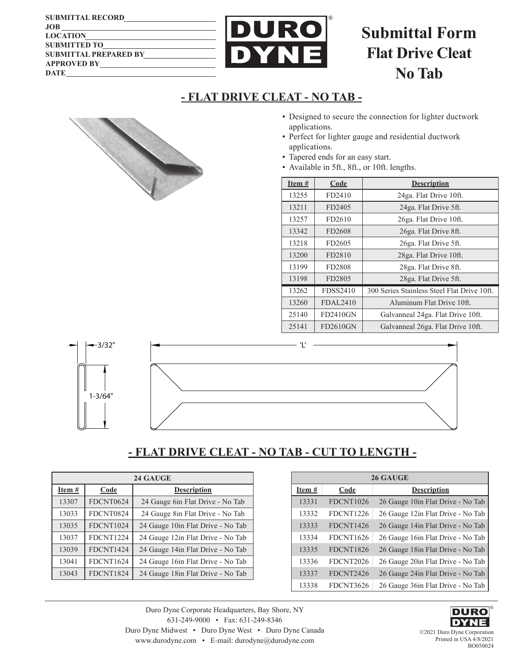| <b>SUBMITTAL RECORD</b>      |
|------------------------------|
| JOB                          |
| <b>LOCATION</b>              |
| <b>SUBMITTED TO</b>          |
| <b>SUBMITTAL PREPARED BY</b> |
| <b>APPROVED BY</b>           |
| <b>DATE</b>                  |



# **Submittal Form Flat Drive Cleat No Tab**

### **- FLAT DRIVE CLEAT - NO TAB -**

- Designed to secure the connection for lighter ductwork applications.
- **Perfect for lighter gauge and residential ductwork** applications.
- **Tapered ends for an easy start.**
- **•** Available in 5ft., 8ft., or 10ft. lengths.

| Item # | Code            | <b>Description</b>                          |  |  |
|--------|-----------------|---------------------------------------------|--|--|
| 13255  | FD2410          | 24ga. Flat Drive 10ft.                      |  |  |
| 13211  | FD2405          | 24ga. Flat Drive 5ft.                       |  |  |
| 13257  | FD2610          | 26ga. Flat Drive 10ft.                      |  |  |
| 13342  | FD2608          | 26ga. Flat Drive 8ft.                       |  |  |
| 13218  | FD2605          | 26ga. Flat Drive 5ft.                       |  |  |
| 13200  | FD2810          | 28ga. Flat Drive 10ft.                      |  |  |
| 13199  | FD2808          | 28ga. Flat Drive 8ft.                       |  |  |
| 13198  | FD2805          | 28ga. Flat Drive 5ft.                       |  |  |
| 13262  | FDSS2410        | 300 Series Stainless Steel Flat Drive 10ft. |  |  |
| 13260  | FDAL2410        | Aluminum Flat Drive 10ft.                   |  |  |
| 25140  | FD2410GN        | Galvanneal 24ga. Flat Drive 10ft.           |  |  |
| 25141  | <b>FD2610GN</b> | Galvanneal 26ga. Flat Drive 10ft.           |  |  |



# **- FLAT DRIVE CLEAT - NO TAB - CUT TO LENGTH -**

|          |                  | 24 GAUGE                           |  |        | 26 GAUC          |
|----------|------------------|------------------------------------|--|--------|------------------|
| Item $#$ | Code             | <b>Description</b>                 |  | Item # | $\mathbf{Code}$  |
| 13307    | FDCNT0624        | 24 Gauge 6in Flat Drive - No Tab   |  | 13331  | FDCNT1026        |
| 13033    | FDCNT0824        | 24 Gauge 8in Flat Drive - No Tab   |  | 13332  | FDCNT1226        |
| 13035    | FDCNT1024        | 24 Gauge 10in Flat Drive - No Tab  |  | 13333  | FDCNT1426        |
| 13037    | <b>FDCNT1224</b> | 24 Gauge 12 in Flat Drive - No Tab |  | 13334  | <b>FDCNT1626</b> |
| 13039    | FDCNT1424        | 24 Gauge 14 in Flat Drive - No Tab |  | 13335  | FDCNT1826        |
| 13041    | FDCNT1624        | 24 Gauge 16 in Flat Drive - No Tab |  | 13336  | FDCNT2026        |
| 13043    | <b>FDCNT1824</b> | 24 Gauge 18 in Flat Drive - No Tab |  | 13337  | FDCNT2426        |
|          |                  |                                    |  |        |                  |

| 26 GAUGE |                  |                                    |  |
|----------|------------------|------------------------------------|--|
| Item #   | Code             | <b>Description</b>                 |  |
| 13331    | FDCNT1026        | 26 Gauge 10in Flat Drive - No Tab  |  |
| 13332    | <b>FDCNT1226</b> | 26 Gauge 12in Flat Drive - No Tab  |  |
| 13333    | FDCNT1426        | 26 Gauge 14in Flat Drive - No Tab  |  |
| 13334    | <b>FDCNT1626</b> | 26 Gauge 16in Flat Drive - No Tab  |  |
| 13335    | <b>FDCNT1826</b> | 26 Gauge 18in Flat Drive - No Tab  |  |
| 13336    | FDCNT2026        | 26 Gauge 20in Flat Drive - No Tab  |  |
| 13337    | FDCNT2426        | 26 Gauge 24in Flat Drive - No Tab  |  |
| 13338    | FDCNT3626        | 26 Gauge 36 in Flat Drive - No Tab |  |

Duro Dyne Corporate Headquarters, Bay Shore, NY 631-249-9000 • Fax: 631-249-8346 Duro Dyne Midwest • Duro Dyne West • Duro Dyne Canada www.durodyne.com • E-mail: durodyne@durodyne.com